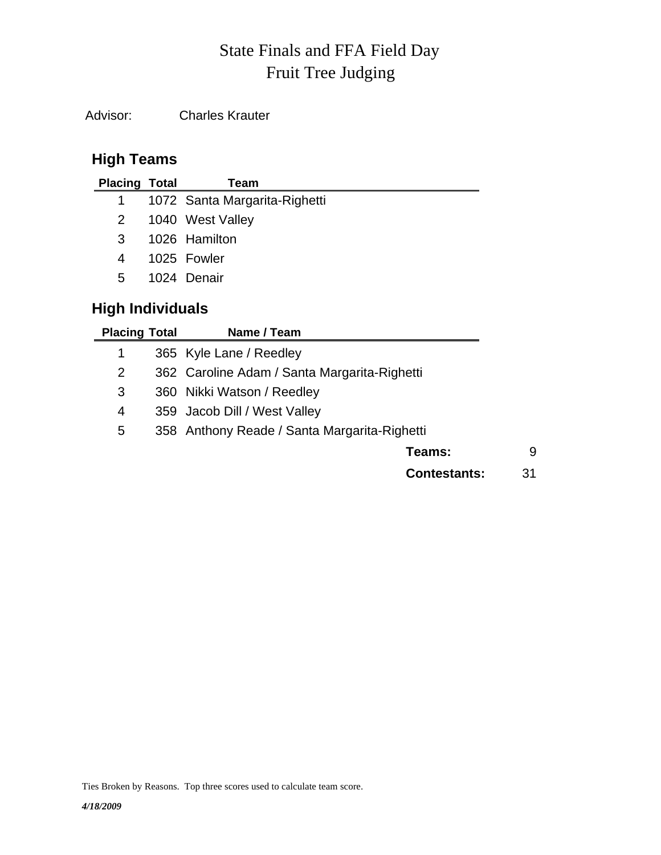# Fruit Tree Judging State Finals and FFA Field Day

Advisor: Charles Krauter

## **High Teams**

| <b>Placing Total</b> | Team                          |
|----------------------|-------------------------------|
| $1 \quad$            | 1072 Santa Margarita-Righetti |
| $2^{\circ}$          | 1040 West Valley              |
| 3                    | 1026 Hamilton                 |
| 4                    | 1025 Fowler                   |
| 5.                   | 1024 Denair                   |
|                      |                               |

## **High Individuals**

| <b>Placing Total</b> | Name / Team                                  |    |
|----------------------|----------------------------------------------|----|
| 1                    | 365 Kyle Lane / Reedley                      |    |
| 2                    | 362 Caroline Adam / Santa Margarita-Righetti |    |
| 3                    | 360 Nikki Watson / Reedley                   |    |
| 4                    | 359 Jacob Dill / West Valley                 |    |
| 5                    | 358 Anthony Reade / Santa Margarita-Righetti |    |
|                      | Teams:                                       | 9  |
|                      | <b>Contestants:</b>                          | 31 |

Ties Broken by Reasons. Top three scores used to calculate team score.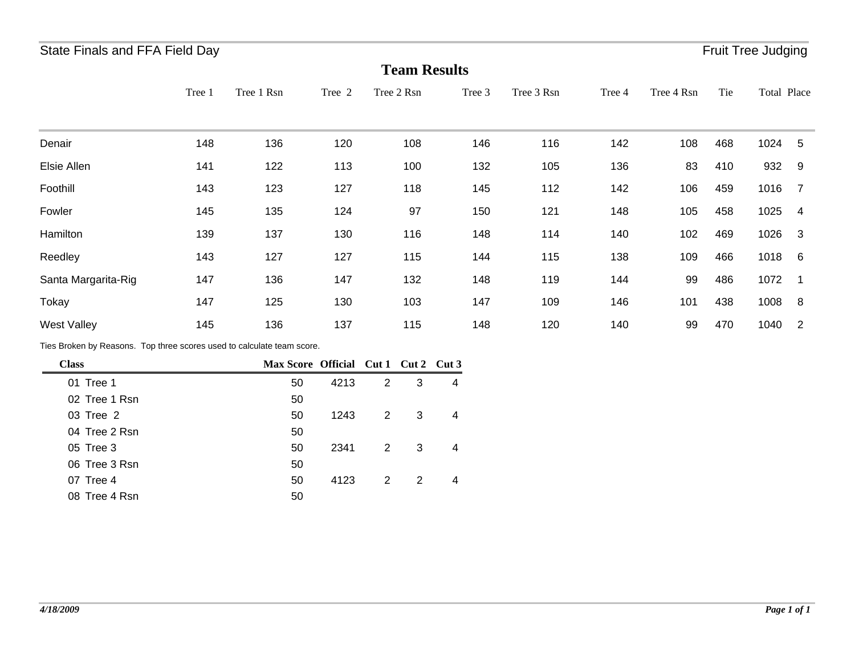## State Finals and FFA Field Day **Fruit Tree Judging** State Finals and FFA Field Day

|                                                                        |        |                          |        |                |            | <b>Team Results</b> |        |            |        |            |     |             |                         |
|------------------------------------------------------------------------|--------|--------------------------|--------|----------------|------------|---------------------|--------|------------|--------|------------|-----|-------------|-------------------------|
|                                                                        | Tree 1 | Tree 1 Rsn               | Tree 2 |                | Tree 2 Rsn |                     | Tree 3 | Tree 3 Rsn | Tree 4 | Tree 4 Rsn | Tie | Total Place |                         |
| Denair                                                                 | 148    | 136                      | 120    |                | 108        |                     | 146    | 116        | 142    | 108        | 468 | 1024        | 5                       |
| Elsie Allen                                                            | 141    | 122                      | 113    |                | 100        |                     | 132    | 105        | 136    | 83         | 410 | 932         | 9                       |
| Foothill                                                               | 143    | 123                      | 127    |                | 118        |                     | 145    | 112        | 142    | 106        | 459 | 1016        | $\overline{7}$          |
| Fowler                                                                 | 145    | 135                      | 124    |                | 97         |                     | 150    | 121        | 148    | 105        | 458 | 1025        | $\overline{4}$          |
| Hamilton                                                               | 139    | 137                      | 130    |                | 116        |                     | 148    | 114        | 140    | 102        | 469 | 1026        | $\overline{\mathbf{3}}$ |
| Reedley                                                                | 143    | 127                      | 127    |                | 115        |                     | 144    | 115        | 138    | 109        | 466 | 1018        | 6                       |
| Santa Margarita-Rig                                                    | 147    | 136                      | 147    |                | 132        |                     | 148    | 119        | 144    | 99         | 486 | 1072        | -1                      |
| Tokay                                                                  | 147    | 125                      | 130    |                | 103        |                     | 147    | 109        | 146    | 101        | 438 | 1008        | - 8                     |
| West Valley                                                            | 145    | 136                      | 137    |                | 115        |                     | 148    | 120        | 140    | 99         | 470 | 1040        | $\overline{2}$          |
| Ties Broken by Reasons. Top three scores used to calculate team score. |        |                          |        |                |            |                     |        |            |        |            |     |             |                         |
| <b>Class</b>                                                           |        | Max Score Official Cut 1 |        |                |            | Cut 2 Cut 3         |        |            |        |            |     |             |                         |
| 01 Tree 1                                                              |        | 50                       | 4213   | $\overline{2}$ | 3          | 4                   |        |            |        |            |     |             |                         |
| 02 Tree 1 Rsn                                                          |        | 50                       |        |                |            |                     |        |            |        |            |     |             |                         |
| 03 Tree 2                                                              |        | 50                       | 1243   | $\overline{c}$ | 3          | 4                   |        |            |        |            |     |             |                         |

*4/18/2009*

04 50 Tree 2 Rsn

06 50 Tree 3 Rsn

08 50 Tree 4 Rsn

05 Tree 3 **50** 2341 2 3 4 Tree 3 50

07 Tree 4 2 2 4 50 4123 2 2 4 Tree 4 50 4123 2 2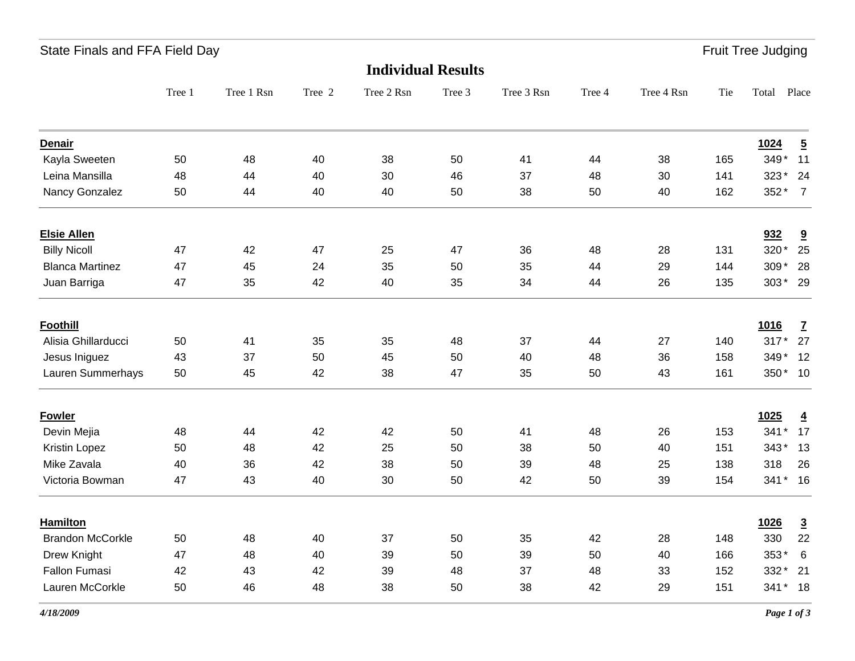| State Finals and FFA Field Day | <b>Fruit Tree Judging</b> |
|--------------------------------|---------------------------|
|                                |                           |

|                         |        |            |        | <b>Individual Results</b> |        |            |        |            |     |         |                          |
|-------------------------|--------|------------|--------|---------------------------|--------|------------|--------|------------|-----|---------|--------------------------|
|                         | Tree 1 | Tree 1 Rsn | Tree 2 | Tree 2 Rsn                | Tree 3 | Tree 3 Rsn | Tree 4 | Tree 4 Rsn | Tie | Total   | Place                    |
| <b>Denair</b>           |        |            |        |                           |        |            |        |            |     | 1024    | $\overline{5}$           |
| Kayla Sweeten           | 50     | 48         | 40     | 38                        | 50     | 41         | 44     | 38         | 165 | 349* 11 |                          |
| Leina Mansilla          | 48     | 44         | 40     | 30                        | 46     | 37         | 48     | 30         | 141 | 323*    | 24                       |
| Nancy Gonzalez          | 50     | 44         | 40     | 40                        | 50     | 38         | 50     | 40         | 162 | $352*$  | $\overline{7}$           |
| <b>Elsie Allen</b>      |        |            |        |                           |        |            |        |            |     | 932     | $\overline{\mathbf{a}}$  |
| <b>Billy Nicoll</b>     | 47     | 42         | 47     | 25                        | 47     | 36         | 48     | 28         | 131 | 320*    | 25                       |
| <b>Blanca Martinez</b>  | 47     | 45         | 24     | 35                        | 50     | 35         | 44     | 29         | 144 | $309*$  | 28                       |
| Juan Barriga            | 47     | 35         | 42     | 40                        | 35     | 34         | 44     | 26         | 135 | 303* 29 |                          |
| <b>Foothill</b>         |        |            |        |                           |        |            |        |            |     | 1016    | $\underline{\mathbf{7}}$ |
| Alisia Ghillarducci     | 50     | 41         | 35     | 35                        | 48     | 37         | 44     | 27         | 140 | $317*$  | 27                       |
| Jesus Iniguez           | 43     | 37         | 50     | 45                        | 50     | 40         | 48     | 36         | 158 | 349* 12 |                          |
| Lauren Summerhays       | 50     | 45         | 42     | 38                        | 47     | 35         | 50     | 43         | 161 | 350* 10 |                          |
| <b>Fowler</b>           |        |            |        |                           |        |            |        |            |     | 1025    | $\overline{4}$           |
| Devin Mejia             | 48     | 44         | 42     | 42                        | 50     | 41         | 48     | 26         | 153 | $341*$  | 17                       |
| Kristin Lopez           | 50     | 48         | 42     | 25                        | 50     | 38         | 50     | 40         | 151 | $343*$  | 13                       |
| Mike Zavala             | 40     | 36         | 42     | 38                        | 50     | 39         | 48     | 25         | 138 | 318     | 26                       |
| Victoria Bowman         | 47     | 43         | 40     | 30                        | 50     | 42         | 50     | 39         | 154 | 341* 16 |                          |
| <b>Hamilton</b>         |        |            |        |                           |        |            |        |            |     | 1026    | $\overline{3}$           |
| <b>Brandon McCorkle</b> | 50     | 48         | 40     | 37                        | 50     | 35         | 42     | 28         | 148 | 330     | 22                       |
| Drew Knight             | 47     | 48         | 40     | 39                        | 50     | 39         | 50     | 40         | 166 | 353*    | $\,6\,$                  |
| <b>Fallon Fumasi</b>    | 42     | 43         | 42     | 39                        | 48     | 37         | 48     | 33         | 152 | 332*    | 21                       |
| Lauren McCorkle         | 50     | 46         | 48     | 38                        | 50     | 38         | 42     | 29         | 151 | 341* 18 |                          |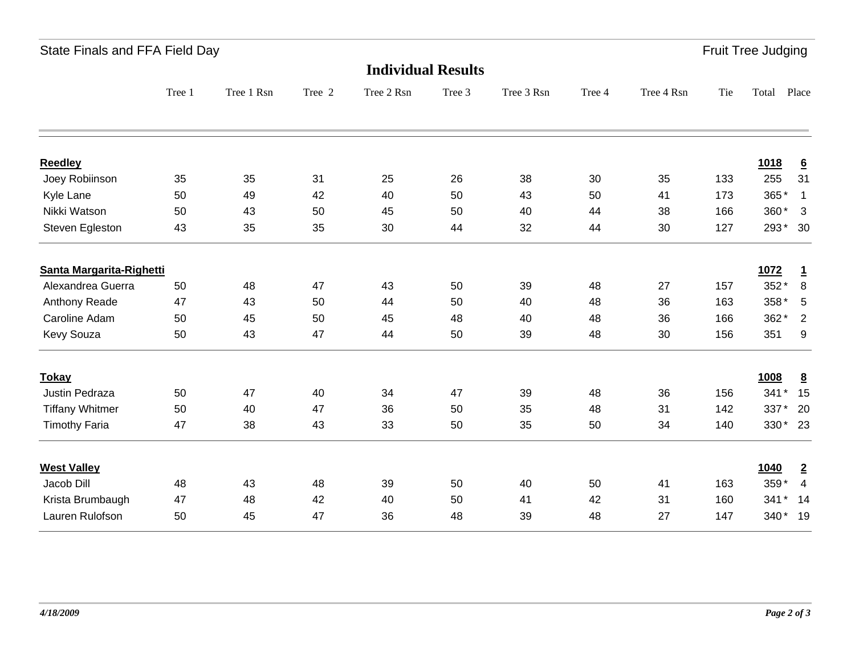|  | State Finals and FFA Field Day |  |
|--|--------------------------------|--|
|  |                                |  |

and Finals and Finals and Field Day Fruit Tree Judging

|                          |        |            |        | <b>Individual Results</b> |        |            |        |            |     |         |                  |
|--------------------------|--------|------------|--------|---------------------------|--------|------------|--------|------------|-----|---------|------------------|
|                          | Tree 1 | Tree 1 Rsn | Tree 2 | Tree 2 Rsn                | Tree 3 | Tree 3 Rsn | Tree 4 | Tree 4 Rsn | Tie | Total   | Place            |
| <b>Reedley</b>           |        |            |        |                           |        |            |        |            |     | 1018    | $\underline{6}$  |
| Joey Robiinson           | 35     | 35         | 31     | 25                        | 26     | 38         | 30     | 35         | 133 | 255     | 31               |
| Kyle Lane                | 50     | 49         | 42     | 40                        | 50     | 43         | 50     | 41         | 173 | 365*    | $\mathbf{1}$     |
| Nikki Watson             | 50     | 43         | 50     | 45                        | 50     | 40         | 44     | 38         | 166 | 360*    | $\mathbf{3}$     |
| Steven Egleston          | 43     | 35         | 35     | 30                        | 44     | 32         | 44     | 30         | 127 | 293*    | 30               |
| Santa Margarita-Righetti |        |            |        |                           |        |            |        |            |     | 1072    | $\overline{1}$   |
| Alexandrea Guerra        | 50     | 48         | 47     | 43                        | 50     | 39         | 48     | 27         | 157 | 352*    | $\boldsymbol{8}$ |
| Anthony Reade            | 47     | 43         | 50     | 44                        | 50     | 40         | 48     | 36         | 163 | 358*    | $5\phantom{.0}$  |
| Caroline Adam            | 50     | 45         | 50     | 45                        | 48     | 40         | 48     | 36         | 166 | 362*    | $\overline{2}$   |
| Kevy Souza               | 50     | 43         | 47     | 44                        | 50     | 39         | 48     | 30         | 156 | 351     | 9                |
| <b>Tokay</b>             |        |            |        |                           |        |            |        |            |     | 1008    | $\underline{8}$  |
| Justin Pedraza           | 50     | 47         | 40     | 34                        | 47     | 39         | 48     | 36         | 156 | $341*$  | 15               |
| <b>Tiffany Whitmer</b>   | 50     | 40         | 47     | 36                        | 50     | 35         | 48     | 31         | 142 | 337*    | 20               |
| <b>Timothy Faria</b>     | 47     | 38         | 43     | 33                        | 50     | 35         | 50     | 34         | 140 | 330* 23 |                  |
| <b>West Valley</b>       |        |            |        |                           |        |            |        |            |     | 1040    | $\overline{2}$   |
| Jacob Dill               | 48     | 43         | 48     | 39                        | 50     | 40         | 50     | 41         | 163 | 359*    | $\overline{4}$   |
| Krista Brumbaugh         | 47     | 48         | 42     | 40                        | 50     | 41         | 42     | 31         | 160 | 341*    | 14               |
| Lauren Rulofson          | 50     | 45         | 47     | 36                        | 48     | 39         | 48     | 27         | 147 | 340* 19 |                  |